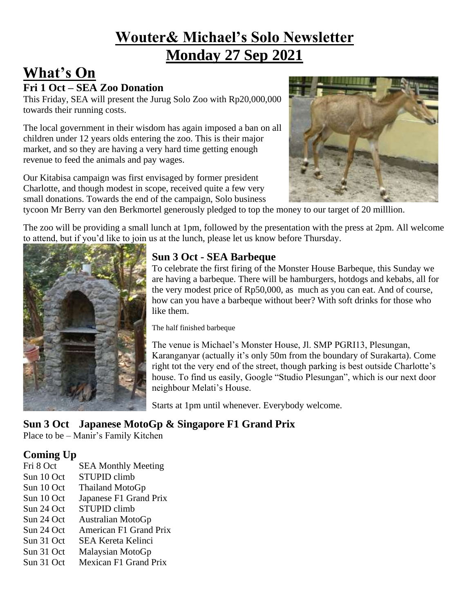## **Wouter& Michael's Solo Newsletter Monday 27 Sep 2021**

## **What's On**

#### **Fri 1 Oct – SEA Zoo Donation**

This Friday, SEA will present the Jurug Solo Zoo with Rp20,000,000 towards their running costs.

The local government in their wisdom has again imposed a ban on all children under 12 years olds entering the zoo. This is their major market, and so they are having a very hard time getting enough revenue to feed the animals and pay wages.

Our Kitabisa campaign was first envisaged by former president Charlotte, and though modest in scope, received quite a few very small donations. Towards the end of the campaign, Solo business



tycoon Mr Berry van den Berkmortel generously pledged to top the money to our target of 20 milllion.

The zoo will be providing a small lunch at 1pm, followed by the presentation with the press at 2pm. All welcome to attend, but if you'd like to join us at the lunch, please let us know before Thursday.



#### **Sun 3 Oct - SEA Barbeque**

To celebrate the first firing of the Monster House Barbeque, this Sunday we are having a barbeque. There will be hamburgers, hotdogs and kebabs, all for the very modest price of Rp50,000, as much as you can eat. And of course, how can you have a barbeque without beer? With soft drinks for those who like them.

The half finished barbeque

The venue is Michael's Monster House, Jl. SMP PGRI13, Plesungan, Karanganyar (actually it's only 50m from the boundary of Surakarta). Come right tot the very end of the street, though parking is best outside Charlotte's house. To find us easily, Google "Studio Plesungan", which is our next door neighbour Melati's House.

Starts at 1pm until whenever. Everybody welcome.

### **Sun 3 Oct Japanese MotoGp & Singapore F1 Grand Prix**

Place to be – Manir's Family Kitchen

### **Coming Up**

- Fri 8 Oct SEA Monthly Meeting
- Sun 10 Oct STUPID climb
- Sun 10 Oct Thailand MotoGp
- Sun 10 Oct Japanese F1 Grand Prix
- Sun 24 Oct STUPID climb
- Sun 24 Oct Australian MotoGp
- Sun 24 Oct American F1 Grand Prix
- Sun 31 Oct SEA Kereta Kelinci
- Sun 31 Oct Malaysian MotoGp
- Sun 31 Oct Mexican F1 Grand Prix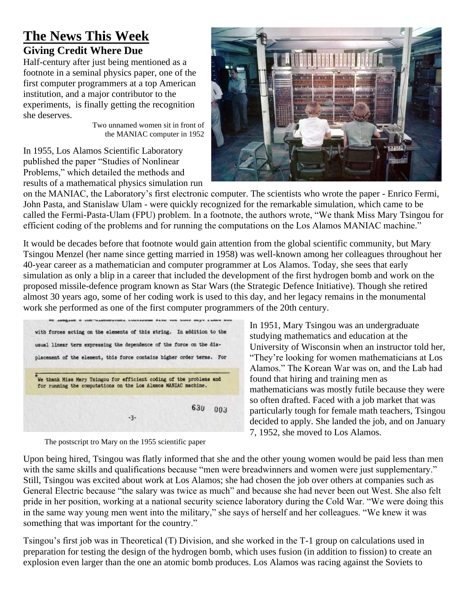## **The News This Week Giving Credit Where Due**

Half-century after just being mentioned as a footnote in a seminal physics paper, one of the first computer programmers at a top American institution, and a major contributor to the experiments, is finally getting the recognition she deserves.

Two unnamed women sit in front of the MANIAC computer in 1952

In 1955, Los Alamos Scientific Laboratory published the paper "Studies of Nonlinear Problems," which detailed the methods and results of a mathematical physics simulation run



on the MANIAC, the Laboratory's first electronic computer. The scientists who wrote the paper - Enrico Fermi, John Pasta, and Stanislaw Ulam - were quickly recognized for the remarkable simulation, which came to be called the Fermi-Pasta-Ulam (FPU) problem. In a footnote, the authors wrote, "We thank Miss Mary Tsingou for efficient coding of the problems and for running the computations on the Los Alamos MANIAC machine."

It would be decades before that footnote would gain attention from the global scientific community, but Mary Tsingou Menzel (her name since getting married in 1958) was well-known among her colleagues throughout her 40-year career as a mathematician and computer programmer at Los Alamos. Today, she sees that early simulation as only a blip in a career that included the development of the first hydrogen bomb and work on the proposed missile-defence program known as Star Wars (the Strategic Defence Initiative). Though she retired almost 30 years ago, some of her coding work is used to this day, and her legacy remains in the monumental work she performed as one of the first computer programmers of the 20th century.

| with forces acting on the elements of this string. In addition to the                                                                 |     |     |
|---------------------------------------------------------------------------------------------------------------------------------------|-----|-----|
| usual linear term expressing the dependence of the force on the dis-                                                                  |     |     |
| placement of the element, this force contains higher order terms. For                                                                 |     |     |
|                                                                                                                                       |     |     |
|                                                                                                                                       |     |     |
|                                                                                                                                       |     |     |
| We thank Miss Mary Tsingou for efficient coding of the problems and<br>for running the computations on the Los Alamos MANIAC machine. |     |     |
|                                                                                                                                       |     |     |
|                                                                                                                                       | 630 | 003 |

The postscript tro Mary on the 1955 scientific paper

In 1951, Mary Tsingou was an undergraduate studying mathematics and education at the University of Wisconsin when an instructor told her, "They're looking for women mathematicians at Los Alamos." The Korean War was on, and the Lab had found that hiring and training men as mathematicians was mostly futile because they were so often drafted. Faced with a job market that was particularly tough for female math teachers, Tsingou decided to apply. She landed the job, and on January 7, 1952, she moved to Los Alamos.

Upon being hired, Tsingou was flatly informed that she and the other young women would be paid less than men with the same skills and qualifications because "men were breadwinners and women were just supplementary." Still, Tsingou was excited about work at Los Alamos; she had chosen the job over others at companies such as General Electric because "the salary was twice as much" and because she had never been out West. She also felt pride in her position, working at a national security science laboratory during the Cold War. "We were doing this in the same way young men went into the military," she says of herself and her colleagues. "We knew it was something that was important for the country."

Tsingou's first job was in Theoretical (T) Division, and she worked in the T-1 group on calculations used in preparation for testing the design of the hydrogen bomb, which uses fusion (in addition to fission) to create an explosion even larger than the one an atomic bomb produces. Los Alamos was racing against the Soviets to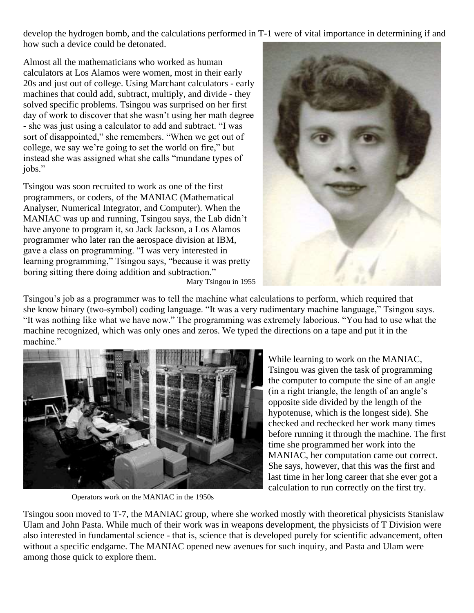develop the hydrogen bomb, and the calculations performed in T-1 were of vital importance in determining if and how such a device could be detonated.

Almost all the mathematicians who worked as human calculators at Los Alamos were women, most in their early 20s and just out of college. Using Marchant calculators - early machines that could add, subtract, multiply, and divide - they solved specific problems. Tsingou was surprised on her first day of work to discover that she wasn't using her math degree - she was just using a calculator to add and subtract. "I was sort of disappointed," she remembers. "When we get out of college, we say we're going to set the world on fire," but instead she was assigned what she calls "mundane types of jobs."

Tsingou was soon recruited to work as one of the first programmers, or coders, of the MANIAC (Mathematical Analyser, Numerical Integrator, and Computer). When the MANIAC was up and running, Tsingou says, the Lab didn't have anyone to program it, so Jack Jackson, a Los Alamos programmer who later ran the aerospace division at IBM, gave a class on programming. "I was very interested in learning programming," Tsingou says, "because it was pretty boring sitting there doing addition and subtraction." Mary Tsingou in 1955



Tsingou's job as a programmer was to tell the machine what calculations to perform, which required that she know binary (two-symbol) coding language. "It was a very rudimentary machine language," Tsingou says. "It was nothing like what we have now." The programming was extremely laborious. "You had to use what the machine recognized, which was only ones and zeros. We typed the directions on a tape and put it in the machine."



Operators work on the MANIAC in the 1950s

While learning to work on the MANIAC, Tsingou was given the task of programming the computer to compute the sine of an angle (in a right triangle, the length of an angle's opposite side divided by the length of the hypotenuse, which is the longest side). She checked and rechecked her work many times before running it through the machine. The first time she programmed her work into the MANIAC, her computation came out correct. She says, however, that this was the first and last time in her long career that she ever got a calculation to run correctly on the first try.

Tsingou soon moved to T-7, the MANIAC group, where she worked mostly with theoretical physicists Stanislaw Ulam and John Pasta. While much of their work was in weapons development, the physicists of T Division were also interested in fundamental science - that is, science that is developed purely for scientific advancement, often without a specific endgame. The MANIAC opened new avenues for such inquiry, and Pasta and Ulam were among those quick to explore them.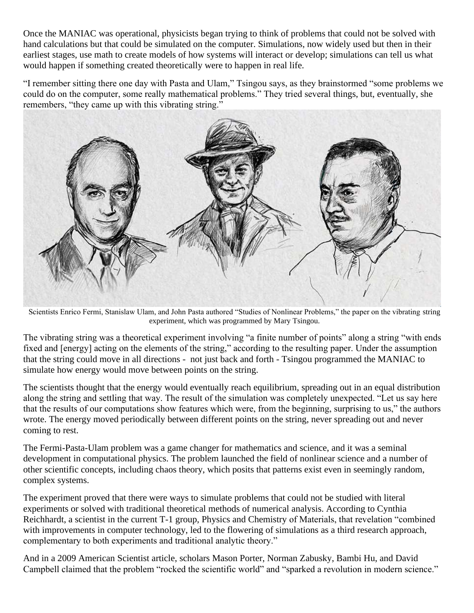Once the MANIAC was operational, physicists began trying to think of problems that could not be solved with hand calculations but that could be simulated on the computer. Simulations, now widely used but then in their earliest stages, use math to create models of how systems will interact or develop; simulations can tell us what would happen if something created theoretically were to happen in real life.

"I remember sitting there one day with Pasta and Ulam," Tsingou says, as they brainstormed "some problems we could do on the computer, some really mathematical problems." They tried several things, but, eventually, she remembers, "they came up with this vibrating string."



Scientists Enrico Fermi, Stanislaw Ulam, and John Pasta authored "Studies of Nonlinear Problems," the paper on the vibrating string experiment, which was programmed by Mary Tsingou.

The vibrating string was a theoretical experiment involving "a finite number of points" along a string "with ends fixed and [energy] acting on the elements of the string," according to the resulting paper. Under the assumption that the string could move in all directions - not just back and forth - Tsingou programmed the MANIAC to simulate how energy would move between points on the string.

The scientists thought that the energy would eventually reach equilibrium, spreading out in an equal distribution along the string and settling that way. The result of the simulation was completely unexpected. "Let us say here that the results of our computations show features which were, from the beginning, surprising to us," the authors wrote. The energy moved periodically between different points on the string, never spreading out and never coming to rest.

The Fermi-Pasta-Ulam problem was a game changer for mathematics and science, and it was a seminal development in computational physics. The problem launched the field of nonlinear science and a number of other scientific concepts, including chaos theory, which posits that patterns exist even in seemingly random, complex systems.

The experiment proved that there were ways to simulate problems that could not be studied with literal experiments or solved with traditional theoretical methods of numerical analysis. According to Cynthia Reichhardt, a scientist in the current T-1 group, Physics and Chemistry of Materials, that revelation "combined with improvements in computer technology, led to the flowering of simulations as a third research approach, complementary to both experiments and traditional analytic theory."

And in a 2009 American Scientist article, scholars Mason Porter, Norman Zabusky, Bambi Hu, and David Campbell claimed that the problem "rocked the scientific world" and "sparked a revolution in modern science."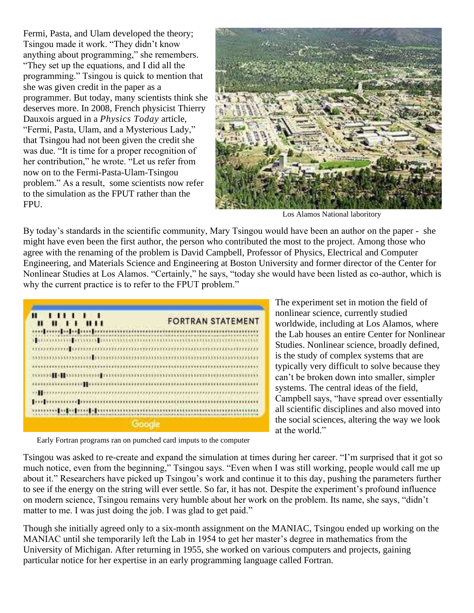Fermi, Pasta, and Ulam developed the theory; Tsingou made it work. "They didn't know anything about programming," she remembers. "They set up the equations, and I did all the programming." Tsingou is quick to mention that she was given credit in the paper as a programmer. But today, many scientists think she deserves more. In 2008, French physicist Thierry Dauxois argued in a *Physics Today* article, "Fermi, Pasta, Ulam, and a Mysterious Lady," that Tsingou had not been given the credit she was due. "It is time for a proper recognition of her contribution," he wrote. "Let us refer from now on to the Fermi-Pasta-Ulam-Tsingou problem." As a result, some scientists now refer to the simulation as the FPUT rather than the FPU.



Los Alamos National laboritory

By today's standards in the scientific community, Mary Tsingou would have been an author on the paper - she might have even been the first author, the person who contributed the most to the project. Among those who agree with the renaming of the problem is David Campbell, Professor of Physics, Electrical and Computer Engineering, and Materials Science and Engineering at Boston University and former director of the Center for Nonlinear Studies at Los Alamos. "Certainly," he says, "today she would have been listed as co-author, which is why the current practice is to refer to the FPUT problem."

| $\cdots$<br>- 88<br>Ш<br>- 11 | <b>FORTRAN STATEMENT</b>                               |
|-------------------------------|--------------------------------------------------------|
| an absentant as pass tenness  |                                                        |
|                               |                                                        |
|                               |                                                        |
|                               |                                                        |
|                               |                                                        |
| THE FEBRATRE ERRETTE          |                                                        |
|                               | popumento por anticomariamento anticomariamento antico |
|                               |                                                        |
|                               |                                                        |

The experiment set in motion the field of nonlinear science, currently studied worldwide, including at Los Alamos, where the Lab houses an entire Center for Nonlinear Studies. Nonlinear science, broadly defined, is the study of complex systems that are typically very difficult to solve because they can't be broken down into smaller, simpler systems. The central ideas of the field, Campbell says, "have spread over essentially all scientific disciplines and also moved into the social sciences, altering the way we look at the world."

Early Fortran programs ran on pumched card imputs to the computer

Tsingou was asked to re-create and expand the simulation at times during her career. "I'm surprised that it got so much notice, even from the beginning," Tsingou says. "Even when I was still working, people would call me up about it." Researchers have picked up Tsingou's work and continue it to this day, pushing the parameters further to see if the energy on the string will ever settle. So far, it has not. Despite the experiment's profound influence on modern science, Tsingou remains very humble about her work on the problem. Its name, she says, "didn't matter to me. I was just doing the job. I was glad to get paid."

Though she initially agreed only to a six-month assignment on the MANIAC, Tsingou ended up working on the MANIAC until she temporarily left the Lab in 1954 to get her master's degree in mathematics from the University of Michigan. After returning in 1955, she worked on various computers and projects, gaining particular notice for her expertise in an early programming language called Fortran.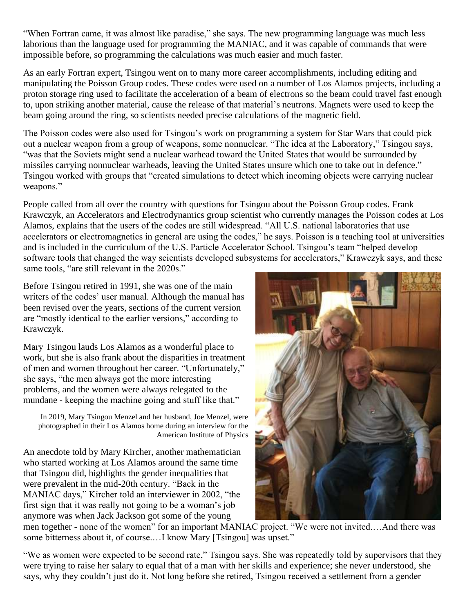"When Fortran came, it was almost like paradise," she says. The new programming language was much less laborious than the language used for programming the MANIAC, and it was capable of commands that were impossible before, so programming the calculations was much easier and much faster.

As an early Fortran expert, Tsingou went on to many more career accomplishments, including editing and manipulating the Poisson Group codes. These codes were used on a number of Los Alamos projects, including a proton storage ring used to facilitate the acceleration of a beam of electrons so the beam could travel fast enough to, upon striking another material, cause the release of that material's neutrons. Magnets were used to keep the beam going around the ring, so scientists needed precise calculations of the magnetic field.

The Poisson codes were also used for Tsingou's work on programming a system for Star Wars that could pick out a nuclear weapon from a group of weapons, some nonnuclear. "The idea at the Laboratory," Tsingou says, "was that the Soviets might send a nuclear warhead toward the United States that would be surrounded by missiles carrying nonnuclear warheads, leaving the United States unsure which one to take out in defence." Tsingou worked with groups that "created simulations to detect which incoming objects were carrying nuclear weapons."

People called from all over the country with questions for Tsingou about the Poisson Group codes. Frank Krawczyk, an Accelerators and Electrodynamics group scientist who currently manages the Poisson codes at Los Alamos, explains that the users of the codes are still widespread. "All U.S. national laboratories that use accelerators or electromagnetics in general are using the codes," he says. Poisson is a teaching tool at universities and is included in the curriculum of the U.S. Particle Accelerator School. Tsingou's team "helped develop software tools that changed the way scientists developed subsystems for accelerators," Krawczyk says, and these same tools, "are still relevant in the 2020s."

Before Tsingou retired in 1991, she was one of the main writers of the codes' user manual. Although the manual has been revised over the years, sections of the current version are "mostly identical to the earlier versions," according to Krawczyk.

Mary Tsingou lauds Los Alamos as a wonderful place to work, but she is also frank about the disparities in treatment of men and women throughout her career. "Unfortunately," she says, "the men always got the more interesting problems, and the women were always relegated to the mundane - keeping the machine going and stuff like that."

In 2019, Mary Tsingou Menzel and her husband, Joe Menzel, were photographed in their Los Alamos home during an interview for the American Institute of Physics

An anecdote told by Mary Kircher, another mathematician who started working at Los Alamos around the same time that Tsingou did, highlights the gender inequalities that were prevalent in the mid-20th century. "Back in the MANIAC days," Kircher told an interviewer in 2002, "the first sign that it was really not going to be a woman's job anymore was when Jack Jackson got some of the young



men together - none of the women" for an important MANIAC project. "We were not invited.…And there was some bitterness about it, of course.…I know Mary [Tsingou] was upset."

"We as women were expected to be second rate," Tsingou says. She was repeatedly told by supervisors that they were trying to raise her salary to equal that of a man with her skills and experience; she never understood, she says, why they couldn't just do it. Not long before she retired, Tsingou received a settlement from a gender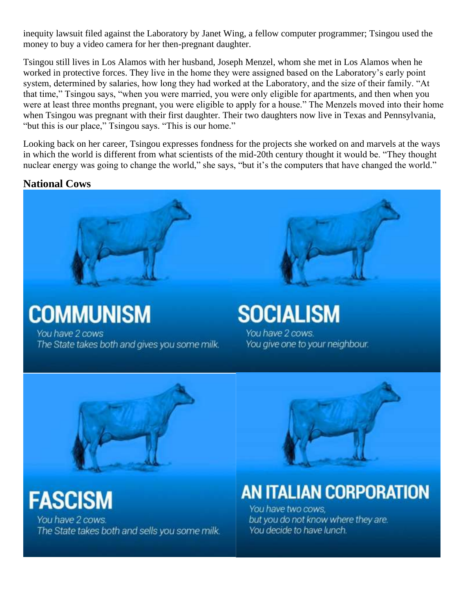inequity lawsuit filed against the Laboratory by Janet Wing, a fellow computer programmer; Tsingou used the money to buy a video camera for her then-pregnant daughter.

Tsingou still lives in Los Alamos with her husband, Joseph Menzel, whom she met in Los Alamos when he worked in protective forces. They live in the home they were assigned based on the Laboratory's early point system, determined by salaries, how long they had worked at the Laboratory, and the size of their family. "At that time," Tsingou says, "when you were married, you were only eligible for apartments, and then when you were at least three months pregnant, you were eligible to apply for a house." The Menzels moved into their home when Tsingou was pregnant with their first daughter. Their two daughters now live in Texas and Pennsylvania, "but this is our place," Tsingou says. "This is our home."

Looking back on her career, Tsingou expresses fondness for the projects she worked on and marvels at the ways in which the world is different from what scientists of the mid-20th century thought it would be. "They thought nuclear energy was going to change the world," she says, "but it's the computers that have changed the world."

#### **National Cows**



**COMMUNISM** You have 2 cows The State takes both and gives you some milk.



**SOCIALISM** You have 2 cows. You give one to your neighbour.



**FASCISM** You have 2 cows. The State takes both and sells you some milk.



## **AN ITALIAN CORPORATION**

You have two cows. but you do not know where they are. You decide to have lunch.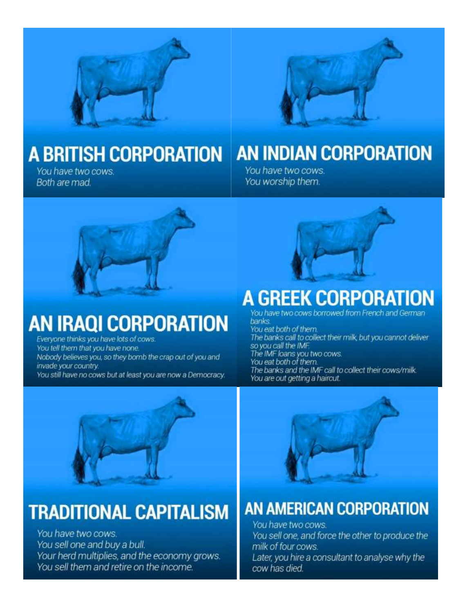



# **A BRITISH CORPORATION**

You have two cows. Both are mad.

# **AN INDIAN CORPORATION**

You have two cows. You worship them.



# **AN IRAQI CORPORATION**

Everyone thinks you have lots of cows. You tell them that you have none. Nobody believes you, so they bomb the crap out of you and invade your country. You still have no cows but at least you are now a Democracy.



## **A GREEK CORPORATION**

You have two cows borrowed from French and German banks You eat both of them. The banks call to collect their milk, but you cannot deliver

so you call the IMF. The IMF loans you two cows.<br>You eat both of them.

The banks and the IMF call to collect their cows/milk. You are out getting a haircut.



# **TRADITIONAL CAPITALISM**

You have two cows. You sell one and buy a bull. Your herd multiplies, and the economy grows. You sell them and retire on the income.



## **AN AMERICAN CORPORATION**

You have two cows. You sell one, and force the other to produce the milk of four cows. Later, you hire a consultant to analyse why the cow has died.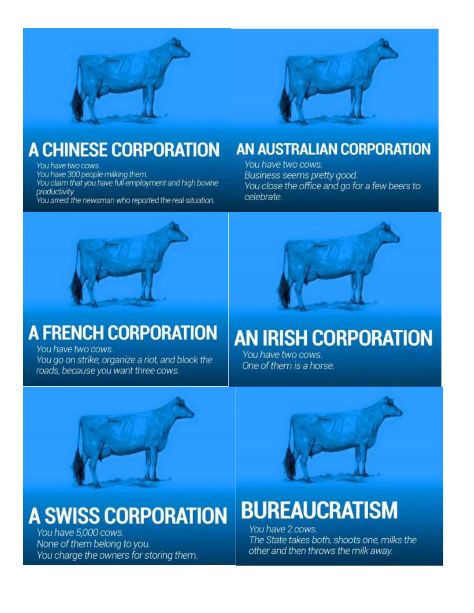



# **A CHINESE CORPORATION**

You have two cows.

You have 300 people milking them.

You claim that you have full employment and high bovine productivity.

You arrest the newsman who reported the real situation.

## AN AUSTRALIAN CORPORATION

You have two cows. Business seems pretty good. You close the office and go for a few beers to celebrate.



# **A FRENCH CORPORATION**

You have two cows. You go on strike, organize a riot, and block the roads, because you want three cows.

# **AN IRISH CORPORATION**

You have two cows. One of them is a horse.





You have 5,000 cows. None of them belong to you. You charge the owners for storing them.

# **BUREAUCRATISM**

You have 2 cows. The State takes both, shoots one, milks the other and then throws the milk away.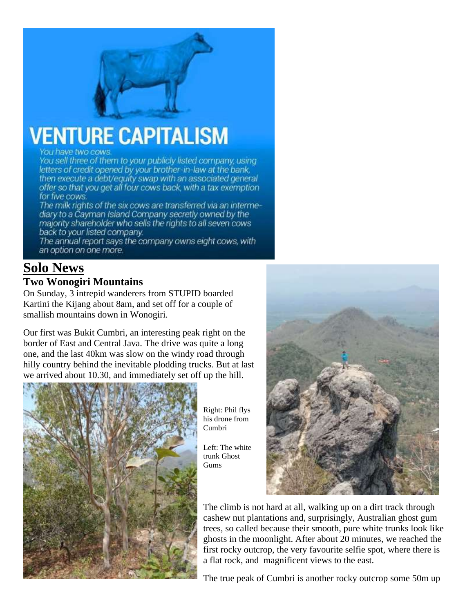# **VENTURE CAPITALISM**

You have two cows

You sell three of them to your publicly listed company, using letters of credit opened by your brother-in-law at the bank, then execute a debt/equity swap with an associated general offer so that you get all four cows back, with a tax exemption for five cows.

The milk rights of the six cows are transferred via an intermediary to a Cayman Island Company secretly owned by the majority shareholder who sells the rights to all seven cows back to your listed company.

The annual report says the company owns eight cows, with an option on one more.

#### **Solo News Two Wonogiri Mountains**

On Sunday, 3 intrepid wanderers from STUPID boarded Kartini the Kijang about 8am, and set off for a couple of smallish mountains down in Wonogiri.

Our first was Bukit Cumbri, an interesting peak right on the border of East and Central Java. The drive was quite a long one, and the last 40km was slow on the windy road through hilly country behind the inevitable plodding trucks. But at last we arrived about 10.30, and immediately set off up the hill.



Right: Phil flys his drone from Cumbri

Left: The white trunk Ghost Gums



The climb is not hard at all, walking up on a dirt track through cashew nut plantations and, surprisingly, Australian ghost gum trees, so called because their smooth, pure white trunks look like ghosts in the moonlight. After about 20 minutes, we reached the first rocky outcrop, the very favourite selfie spot, where there is a flat rock, and magnificent views to the east.

The true peak of Cumbri is another rocky outcrop some 50m up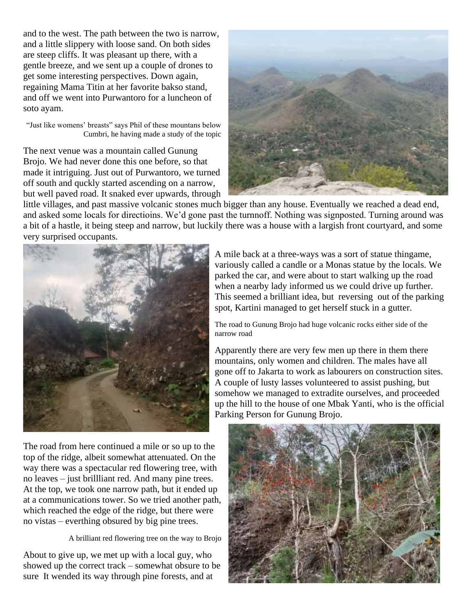and to the west. The path between the two is narrow, and a little slippery with loose sand. On both sides are steep cliffs. It was pleasant up there, with a gentle breeze, and we sent up a couple of drones to get some interesting perspectives. Down again, regaining Mama Titin at her favorite bakso stand, and off we went into Purwantoro for a luncheon of soto ayam.

"Just like womens' breasts" says Phil of these mountans below Cumbri, he having made a study of the topic

The next venue was a mountain called Gunung Brojo. We had never done this one before, so that made it intriguing. Just out of Purwantoro, we turned off south and quckly started ascending on a narrow, but well paved road. It snaked ever upwards, through



little villages, and past massive volcanic stones much bigger than any house. Eventually we reached a dead end, and asked some locals for directioins. We'd gone past the turnnoff. Nothing was signposted. Turning around was a bit of a hastle, it being steep and narrow, but luckily there was a house with a largish front courtyard, and some very surprised occupants.



The road from here continued a mile or so up to the top of the ridge, albeit somewhat attenuated. On the way there was a spectacular red flowering tree, with no leaves – just brillliant red. And many pine trees. At the top, we took one narrow path, but it ended up at a communications tower. So we tried another path, which reached the edge of the ridge, but there were no vistas – everthing obsured by big pine trees.

A brilliant red flowering tree on the way to Brojo

About to give up, we met up with a local guy, who showed up the correct track – somewhat obsure to be sure It wended its way through pine forests, and at

A mile back at a three-ways was a sort of statue thingame, variously called a candle or a Monas statue by the locals. We parked the car, and were about to start walking up the road when a nearby lady informed us we could drive up further. This seemed a brilliant idea, but reversing out of the parking spot, Kartini managed to get herself stuck in a gutter.

The road to Gunung Brojo had huge volcanic rocks either side of the narrow road

Apparently there are very few men up there in them there mountains, only women and children. The males have all gone off to Jakarta to work as labourers on construction sites. A couple of lusty lasses volunteered to assist pushing, but somehow we managed to extradite ourselves, and proceeded up the hill to the house of one Mbak Yanti, who is the official Parking Person for Gunung Brojo.

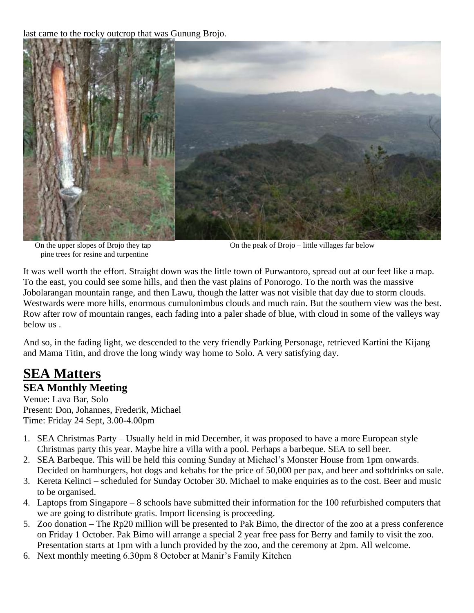last came to the rocky outcrop that was Gunung Brojo.



pine trees for resine and turpentine

On the upper slopes of Brojo they tap On the peak of Brojo – little villages far below

It was well worth the effort. Straight down was the little town of Purwantoro, spread out at our feet like a map. To the east, you could see some hills, and then the vast plains of Ponorogo. To the north was the massive Jobolarangan mountain range, and then Lawu, though the latter was not visible that day due to storm clouds. Westwards were more hills, enormous cumulonimbus clouds and much rain. But the southern view was the best. Row after row of mountain ranges, each fading into a paler shade of blue, with cloud in some of the valleys way below us .

And so, in the fading light, we descended to the very friendly Parking Personage, retrieved Kartini the Kijang and Mama Titin, and drove the long windy way home to Solo. A very satisfying day.

## **SEA Matters**

#### **SEA Monthly Meeting**

Venue: Lava Bar, Solo Present: Don, Johannes, Frederik, Michael Time: Friday 24 Sept, 3.00-4.00pm

- 1. SEA Christmas Party Usually held in mid December, it was proposed to have a more European style Christmas party this year. Maybe hire a villa with a pool. Perhaps a barbeque. SEA to sell beer.
- 2. SEA Barbeque. This will be held this coming Sunday at Michael's Monster House from 1pm onwards. Decided on hamburgers, hot dogs and kebabs for the price of 50,000 per pax, and beer and softdrinks on sale.
- 3. Kereta Kelinci scheduled for Sunday October 30. Michael to make enquiries as to the cost. Beer and music to be organised.
- 4. Laptops from Singapore 8 schools have submitted their information for the 100 refurbished computers that we are going to distribute gratis. Import licensing is proceeding.
- 5. Zoo donation The Rp20 million will be presented to Pak Bimo, the director of the zoo at a press conference on Friday 1 October. Pak Bimo will arrange a special 2 year free pass for Berry and family to visit the zoo. Presentation starts at 1pm with a lunch provided by the zoo, and the ceremony at 2pm. All welcome.
- 6. Next monthly meeting 6.30pm 8 October at Manir's Family Kitchen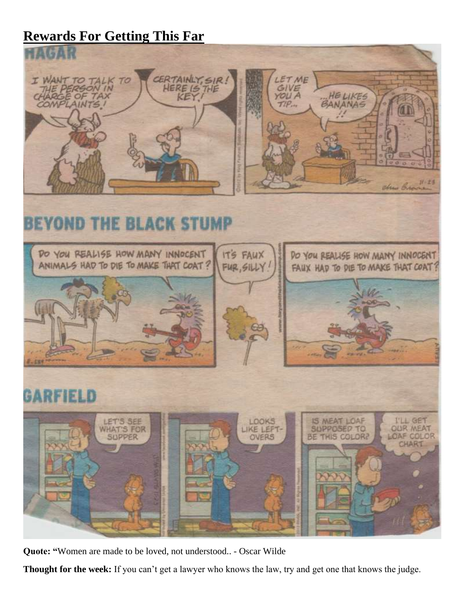## **Rewards For Getting This Far**



# **BEYOND THE BLACK STUMP**



**Quote: "**[Women are made to be loved, not understood..](https://www.brainyquote.com/quotes/oscar_wilde_118826) - Oscar Wilde

**Thought for the week:** If you can't get a lawyer who knows the law, try and get one that knows the judge.